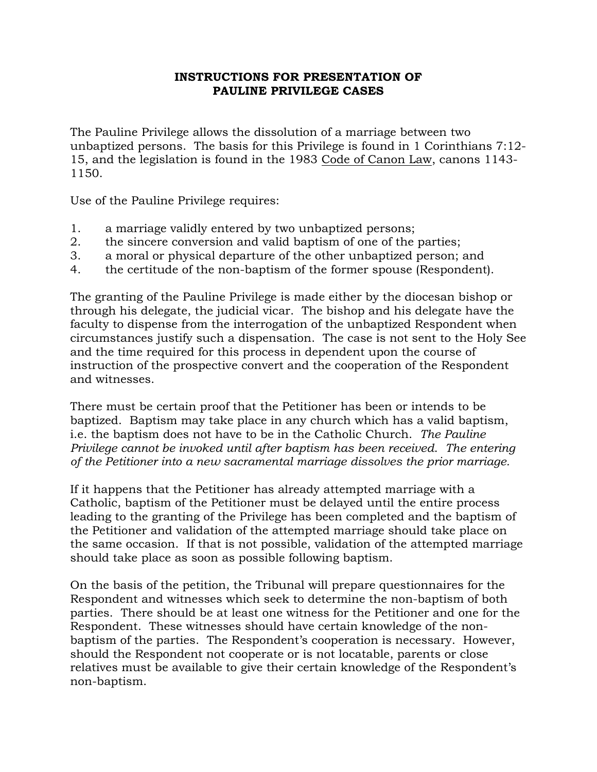## **INSTRUCTIONS FOR PRESENTATION OF PAULINE PRIVILEGE CASES**

The Pauline Privilege allows the dissolution of a marriage between two unbaptized persons. The basis for this Privilege is found in 1 Corinthians 7:12- 15, and the legislation is found in the 1983 Code of Canon Law, canons 1143- 1150.

Use of the Pauline Privilege requires:

- 1. a marriage validly entered by two unbaptized persons;
- 2. the sincere conversion and valid baptism of one of the parties;
- 3. a moral or physical departure of the other unbaptized person; and
- 4. the certitude of the non-baptism of the former spouse (Respondent).

The granting of the Pauline Privilege is made either by the diocesan bishop or through his delegate, the judicial vicar. The bishop and his delegate have the faculty to dispense from the interrogation of the unbaptized Respondent when circumstances justify such a dispensation. The case is not sent to the Holy See and the time required for this process in dependent upon the course of instruction of the prospective convert and the cooperation of the Respondent and witnesses.

There must be certain proof that the Petitioner has been or intends to be baptized. Baptism may take place in any church which has a valid baptism, i.e. the baptism does not have to be in the Catholic Church. *The Pauline Privilege cannot be invoked until after baptism has been received*. *The entering of the Petitioner into a new sacramental marriage dissolves the prior marriage.* 

If it happens that the Petitioner has already attempted marriage with a Catholic, baptism of the Petitioner must be delayed until the entire process leading to the granting of the Privilege has been completed and the baptism of the Petitioner and validation of the attempted marriage should take place on the same occasion. If that is not possible, validation of the attempted marriage should take place as soon as possible following baptism.

On the basis of the petition, the Tribunal will prepare questionnaires for the Respondent and witnesses which seek to determine the non-baptism of both parties. There should be at least one witness for the Petitioner and one for the Respondent. These witnesses should have certain knowledge of the nonbaptism of the parties. The Respondent's cooperation is necessary. However, should the Respondent not cooperate or is not locatable, parents or close relatives must be available to give their certain knowledge of the Respondent's non-baptism.